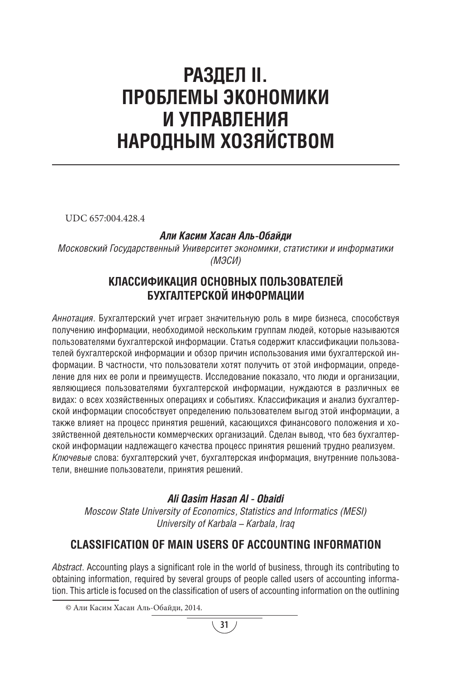# **РАЗДЕЛ II. ПРОБЛЕМЫ ЭКОНОМИКИ И УПРАВЛЕНИЯ НАРОДНЫМ ХОЗЯЙСТВОМ**

UDC 657:004.428.4

#### *Али Касим Хасан Аль-Обайди*

*Московский Государственный Университет экономики, статистики и информатики (МЭСИ)*

### **КЛАССИФИКАЦИЯ ОСНОВНЫХ ПОЛЬЗОВАТЕЛЕЙ БУХГАЛТЕРСКОЙ ИНФОРМАЦИИ**

*Аннотация.* Бухгалтерский учет играет значительную роль в мире бизнеса, способствуя получению информации, необходимой нескольким группам людей, которые называются пользователями бухгалтерской информации. Статья содержит классификации пользователей бухгалтерской информации и обзор причин использования ими бухгалтерской информации. В частности, что пользователи хотят получить от этой информации, определение для них ее роли и преимуществ. Исследование показало, что люди и организации, являющиеся пользователями бухгалтерской информации, нуждаются в различных ее видах: о всех хозяйственных операциях и событиях. Классификация и анализ бухгалтерской информации способствует определению пользователем выгод этой информации, а также влияет на процесс принятия решений, касающихся финансового положения и хозяйственной деятельности коммерческих организаций. Сделан вывод, что без бухгалтерской информации надлежащего качества процесс принятия решений трудно реализуем. *Ключевые* слова: бухгалтерский учет, бухгалтерская информация, внутренние пользователи, внешние пользователи, принятия решений.

#### *Ali Qasim Hasan Al - Obaidi*

*Moscow State University of Economics, Statistics and Informatics (MESI) University of Karbala – Karbala, Iraq*

## **CLASSIFICATION OF MAIN USERS OF ACCOUNTING INFORMATION**

*Abstract.* Accounting plays a significant role in the world of business, through its contributing to obtaining information, required by several groups of people called users of accounting information. This article is focused on the classification of users of accounting information on the outlining <sup>1</sup>

<sup>©</sup> Али Касим Хасан Аль-Обайди, 2014.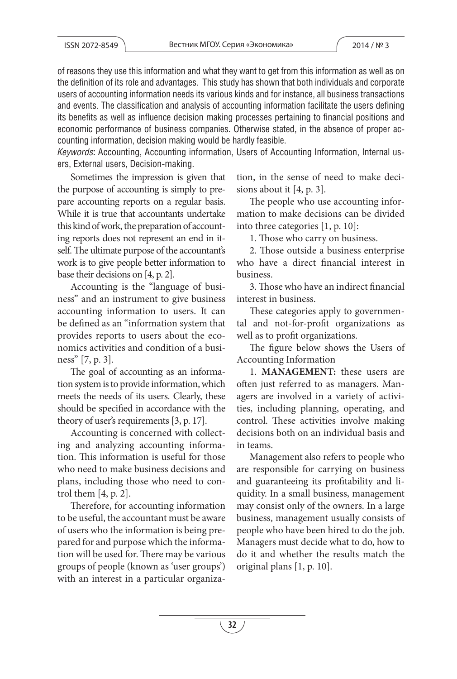of reasons they use this information and what they want to get from this information as well as on the definition of its role and advantages. This study has shown that both individuals and corporate users of accounting information needs its various kinds and for instance, all business transactions and events. The classification and analysis of accounting information facilitate the users defining its benefits as well as influence decision making processes pertaining to financial positions and economic performance of business companies. Otherwise stated, in the absence of proper accounting information, decision making would be hardly feasible.

*Keywords***:** Accounting, Accounting information, Users of Accounting Information, Internal users, External users, Decision-making.

Sometimes the impression is given that the purpose of accounting is simply to prepare accounting reports on a regular basis. While it is true that accountants undertake this kind of work, the preparation of accounting reports does not represent an end in itself. The ultimate purpose of the accountant's work is to give people better information to base their decisions on [4, p. 2].

Accounting is the "language of business" and an instrument to give business accounting information to users. It can be defined as an "information system that provides reports to users about the economics activities and condition of a business" [7, p. 3].

The goal of accounting as an information system is to provide information, which meets the needs of its users. Clearly, these should be specified in accordance with the theory of user's requirements [3, p. 17].

Accounting is concerned with collecting and analyzing accounting information. This information is useful for those who need to make business decisions and plans, including those who need to control them [4, p. 2].

Therefore, for accounting information to be useful, the accountant must be aware of users who the information is being prepared for and purpose which the information will be used for. There may be various groups of people (known as 'user groups') with an interest in a particular organization, in the sense of need to make decisions about it [4, p. 3].

The people who use accounting information to make decisions can be divided into three categories [1, p. 10]:

1. Those who carry on business.

2. Those outside a business enterprise who have a direct financial interest in business.

3. Those who have an indirect financial interest in business.

These categories apply to governmental and not-for-profit organizations as well as to profit organizations.

The figure below shows the Users of Accounting Information

1. **MANAGEMENT:** these users are often just referred to as managers. Managers are involved in a variety of activities, including planning, operating, and control. These activities involve making decisions both on an individual basis and in teams.

Management also refers to people who are responsible for carrying on business and guaranteeing its profitability and liquidity. In a small business, management may consist only of the owners. In a large business, management usually consists of people who have been hired to do the job. Managers must decide what to do, how to do it and whether the results match the original plans [1, p. 10].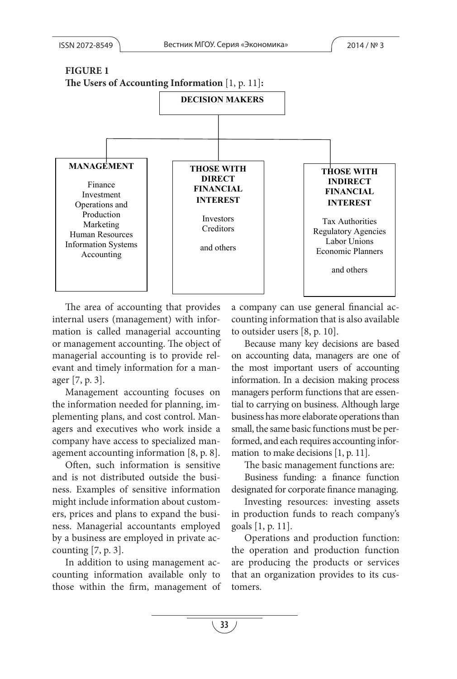

management accounting to buisider users [0, p. 10].<br>management accounting. The object of Because many key decisions are based evant and timely information for a man-The area of accounting that provides internal users (management) with information is called managerial accounting or management accounting. The object of managerial accounting is to provide relager [7, p. 3].

agement accounting information [8, p. 8]. mation to make decisions [1, p. 11]. Management accounting focuses on the information needed for planning, implementing plans, and cost control. Managers and executives who work inside a company have access to specialized man-

Often, such information is sensitive The basic management functions are: p.10]. ness. Examples of sensitive information ness. Managerial accountants employed goals [1, p. 11]. Often, such information is sensitive and is not distributed outside the busimight include information about customers, prices and plans to expand the busiby a business are employed in private accounting  $[7, p. 3]$ .

In addition to using management accounting information available only to those within the firm, management of

users (management) with infor- counting information that is also available a company can use general financial acto outsider users [8, p. 10].

nagerial accounting is to provide rel- on accounting data, managers are one of gement accounting focuses on managers perform functions that are essenmenting plans, and cost control. Man- business has more elaborate operations than rs and executives who work inside a small, the same basic functions must be perthe most important users of accounting information. In a decision making process tial to carrying on business. Although large formed, and each requires accounting information to make decisions [1, p. 11].

Business funding: a finance function designated for corporate finance managing.

s and plans to expand the busi-<br>in production funds to reach company's Investing resources: investing assets goals [1, p. 11].

> that an organization provides to its cus-Operations and production function: the operation and production function are producing the products or services tomers.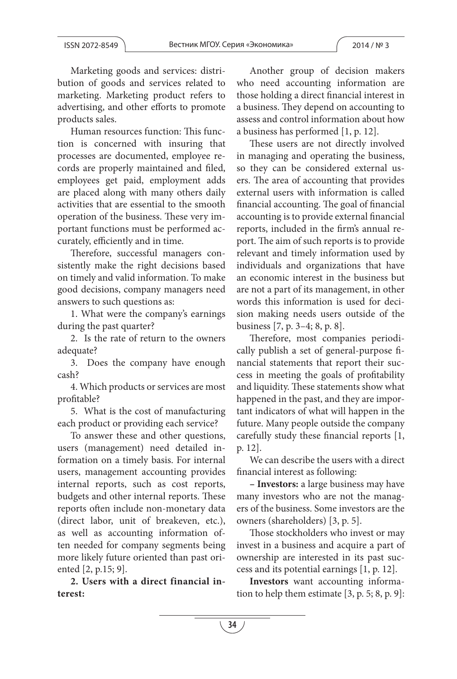Marketing goods and services: distribution of goods and services related to marketing. Marketing product refers to advertising, and other efforts to promote products sales.

Human resources function: This function is concerned with insuring that processes are documented, employee records are properly maintained and filed, employees get paid, employment adds are placed along with many others daily activities that are essential to the smooth operation of the business. These very important functions must be performed accurately, efficiently and in time.

Therefore, successful managers consistently make the right decisions based on timely and valid information. To make good decisions, company managers need answers to such questions as:

1. What were the company's earnings during the past quarter?

2. Is the rate of return to the owners adequate?

3. Does the company have enough cash?

4. Which products or services are most profitable?

5. What is the cost of manufacturing each product or providing each service?

To answer these and other questions, users (management) need detailed information on a timely basis. For internal users, management accounting provides internal reports, such as cost reports, budgets and other internal reports. These reports often include non-monetary data (direct labor, unit of breakeven, etc.), as well as accounting information often needed for company segments being more likely future oriented than past oriented [2, p.15; 9].

**2. Users with a direct financial interest:**

Another group of decision makers who need accounting information are those holding a direct financial interest in a business. They depend on accounting to assess and control information about how a business has performed [1, p. 12].

These users are not directly involved in managing and operating the business, so they can be considered external users. The area of accounting that provides external users with information is called financial accounting. The goal of financial accounting is to provide external financial reports, included in the firm's annual report. The aim of such reports is to provide relevant and timely information used by individuals and organizations that have an economic interest in the business but are not a part of its management, in other words this information is used for decision making needs users outside of the business [7, p. 3–4; 8, p. 8].

Therefore, most companies periodically publish a set of general-purpose financial statements that report their success in meeting the goals of profitability and liquidity. These statements show what happened in the past, and they are important indicators of what will happen in the future. Many people outside the company carefully study these financial reports [1, p. 12].

We can describe the users with a direct financial interest as following:

**– Investors:** a large business may have many investors who are not the managers of the business. Some investors are the owners (shareholders) [3, p. 5].

Those stockholders who invest or may invest in a business and acquire a part of ownership are interested in its past success and its potential earnings [1, p. 12].

**Investors** want accounting information to help them estimate [3, p. 5; 8, p. 9]: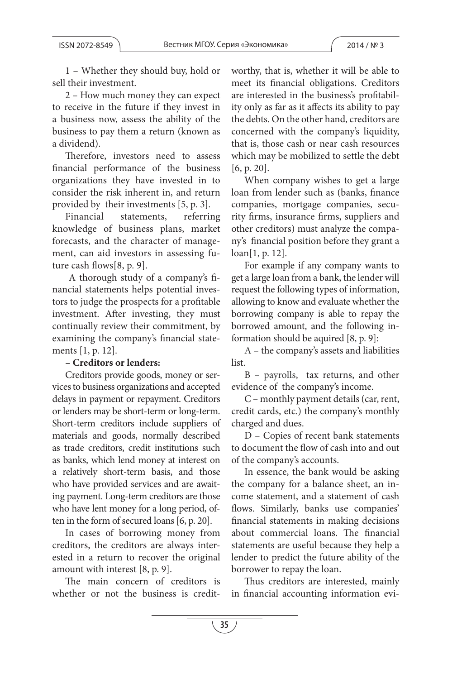1 – Whether they should buy, hold or sell their investment.

2 – How much money they can expect to receive in the future if they invest in a business now, assess the ability of the business to pay them a return (known as a dividend).

Therefore, investors need to assess financial performance of the business organizations they have invested in to consider the risk inherent in, and return provided by their investments [5, p. 3].

Financial statements, referring knowledge of business plans, market forecasts, and the character of management, can aid investors in assessing future cash flows[8, p. 9].

 A thorough study of a company's financial statements helps potential investors to judge the prospects for a profitable investment. After investing, they must continually review their commitment, by examining the company's financial statements [1, p. 12].

#### **– Creditors or lenders:**

Creditors provide goods, money or services to business organizations and accepted delays in payment or repayment. Creditors or lenders may be short-term or long-term. Short-term creditors include suppliers of materials and goods, normally described as trade creditors, credit institutions such as banks, which lend money at interest on a relatively short-term basis, and those who have provided services and are awaiting payment. Long-term creditors are those who have lent money for a long period, often in the form of secured loans [6, p. 20].

In cases of borrowing money from creditors, the creditors are always interested in a return to recover the original amount with interest [8, p. 9].

The main concern of creditors is whether or not the business is creditworthy, that is, whether it will be able to meet its financial obligations. Creditors are interested in the business's profitability only as far as it affects its ability to pay the debts. On the other hand, creditors are concerned with the company's liquidity, that is, those cash or near cash resources which may be mobilized to settle the debt [6, p. 20].

When company wishes to get a large loan from lender such as (banks, finance companies, mortgage companies, security firms, insurance firms, suppliers and other creditors) must analyze the company's financial position before they grant a loan[1, p. 12].

For example if any company wants to get a large loan from a bank, the lender will request the following types of information, allowing to know and evaluate whether the borrowing company is able to repay the borrowed amount, and the following information should be aquired [8, p. 9]:

A – the company's assets and liabilities list.

B – payrolls, tax returns, and other evidence of the company's income.

C – monthly payment details (car, rent, credit cards, etc.) the company's monthly charged and dues.

D – Copies of recent bank statements to document the flow of cash into and out of the company's accounts.

In essence, the bank would be asking the company for a balance sheet, an income statement, and a statement of cash flows. Similarly, banks use companies' financial statements in making decisions about commercial loans. The financial statements are useful because they help a lender to predict the future ability of the borrower to repay the loan.

Thus creditors are interested, mainly in financial accounting information evi-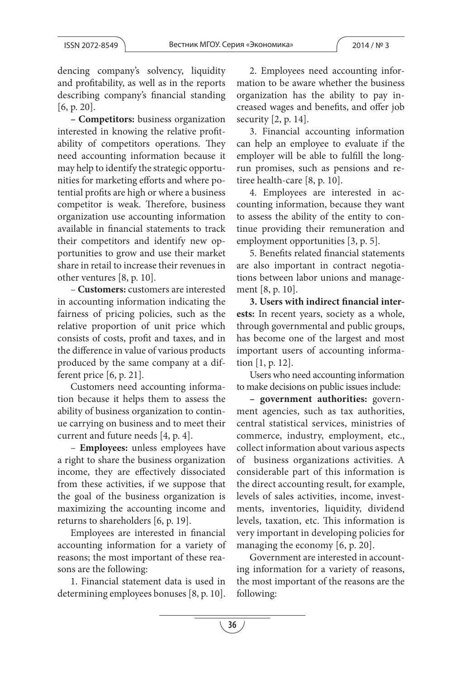dencing company's solvency, liquidity and profitability, as well as in the reports describing company's financial standing [6, p. 20].

**– Competitors:** business organization interested in knowing the relative profitability of competitors operations. They need accounting information because it may help to identify the strategic opportunities for marketing efforts and where potential profits are high or where a business competitor is weak. Therefore, business organization use accounting information available in financial statements to track their competitors and identify new opportunities to grow and use their market share in retail to increase their revenues in other ventures [8, p. 10].

– **Customers:** customers are interested in accounting information indicating the fairness of pricing policies, such as the relative proportion of unit price which consists of costs, profit and taxes, and in the difference in value of various products produced by the same company at a different price [6, p. 21].

Customers need accounting information because it helps them to assess the ability of business organization to continue carrying on business and to meet their current and future needs [4, p. 4].

– **Employees:** unless employees have a right to share the business organization income, they are effectively dissociated from these activities, if we suppose that the goal of the business organization is maximizing the accounting income and returns to shareholders [6, p. 19].

Employees are interested in financial accounting information for a variety of reasons; the most important of these reasons are the following:

1. Financial statement data is used in determining employees bonuses [8, p. 10].

2. Employees need accounting information to be aware whether the business organization has the ability to pay increased wages and benefits, and offer job security [2, p. 14].

3. Financial accounting information can help an employee to evaluate if the employer will be able to fulfill the longrun promises, such as pensions and retiree health-care [8, p. 10].

4. Employees are interested in accounting information, because they want to assess the ability of the entity to continue providing their remuneration and employment opportunities [3, p. 5].

5. Benefits related financial statements are also important in contract negotiations between labor unions and management [8, p. 10].

**3. Users with indirect financial interests:** In recent years, society as a whole, through governmental and public groups, has become one of the largest and most important users of accounting information [1, p. 12].

Users who need accounting information to make decisions on public issues include:

**– government authorities:** government agencies, such as tax authorities, central statistical services, ministries of commerce, industry, employment, etc., collect information about various aspects of business organizations activities. A considerable part of this information is the direct accounting result, for example, levels of sales activities, income, investments, inventories, liquidity, dividend levels, taxation, etc. This information is very important in developing policies for managing the economy [6, p. 20].

Government are interested in accounting information for a variety of reasons, the most important of the reasons are the following: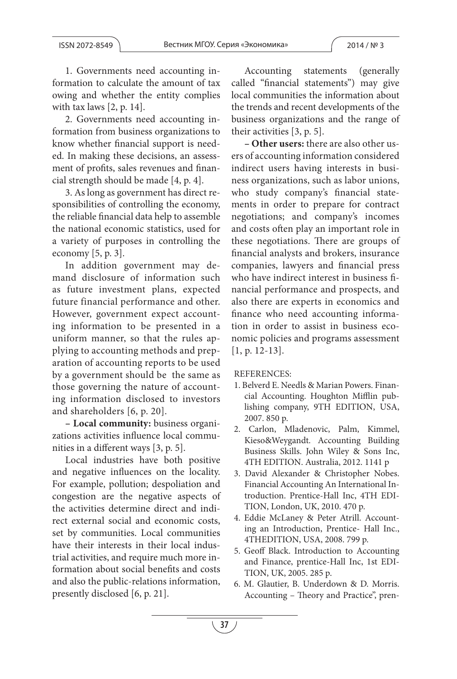1. Governments need accounting information to calculate the amount of tax owing and whether the entity complies with tax laws [2, p. 14].

2. Governments need accounting information from business organizations to know whether financial support is needed. In making these decisions, an assessment of profits, sales revenues and financial strength should be made [4, p. 4].

3. As long as government has direct responsibilities of controlling the economy, the reliable financial data help to assemble the national economic statistics, used for a variety of purposes in controlling the economy [5, p. 3].

In addition government may demand disclosure of information such as future investment plans, expected future financial performance and other. However, government expect accounting information to be presented in a uniform manner, so that the rules applying to accounting methods and preparation of accounting reports to be used by a government should be the same as those governing the nature of accounting information disclosed to investors and shareholders [6, p. 20].

**– Local community:** business organizations activities influence local communities in a different ways [3, p. 5].

Local industries have both positive and negative influences on the locality. For example, pollution; despoliation and congestion are the negative aspects of the activities determine direct and indirect external social and economic costs, set by communities. Local communities have their interests in their local industrial activities, and require much more information about social benefits and costs and also the public-relations information, presently disclosed [6, p. 21].

Accounting statements (generally called "financial statements") may give local communities the information about the trends and recent developments of the business organizations and the range of their activities [3, p. 5].

**– Other users:** there are also other users of accounting information considered indirect users having interests in business organizations, such as labor unions, who study company's financial statements in order to prepare for contract negotiations; and company's incomes and costs often play an important role in these negotiations. There are groups of financial analysts and brokers, insurance companies, lawyers and financial press who have indirect interest in business financial performance and prospects, and also there are experts in economics and finance who need accounting information in order to assist in business economic policies and programs assessment [1, p. 12-13].

REFERENCES:

- 1. Belverd E. Needls & Marian Powers. Financial Accounting. Houghton Mifflin publishing company, 9TH EDITION, USA, 2007. 850 p.
- 2. Carlon, Mladenovic, Palm, Kimmel, Kieso&Weygandt. Accounting Building Business Skills. John Wiley & Sons Inc, 4TH EDITION. Australia, 2012. 1141 p
- 3. David Alexander & Christopher Nobes. Financial Accounting An International Introduction. Prentice-Hall Inc, 4TH EDI-TION, London, UK, 2010. 470 p.
- 4. Eddie McLaney & Peter Atrill. Accounting an Introduction, Prentice- Hall Inc., 4THEDITION, USA, 2008. 799 p.
- 5. Geoff Black. Introduction to Accounting and Finance, prentice-Hall Inc, 1st EDI-TION, UK, 2005. 285 p.
- 6. M. Glautier, B. Underdown & D. Morris. Accounting – Theory and Practice", pren-